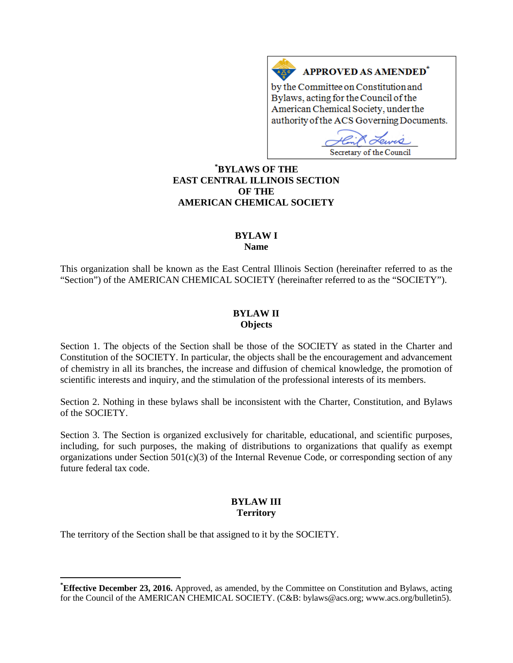# **APPROVED AS AMENDED<sup>\*</sup>**

by the Committee on Constitution and Bylaws, acting for the Council of the American Chemical Society, under the authority of the ACS Governing Documents.

Secretary of the Council

# **[\\*](#page-0-0) BYLAWS OF THE EAST CENTRAL ILLINOIS SECTION OF THE AMERICAN CHEMICAL SOCIETY**

 $A \underline{X}$ 

# **BYLAW I**

**Name**

This organization shall be known as the East Central Illinois Section (hereinafter referred to as the "Section") of the AMERICAN CHEMICAL SOCIETY (hereinafter referred to as the "SOCIETY").

# **BYLAW II Objects**

Section 1. The objects of the Section shall be those of the SOCIETY as stated in the Charter and Constitution of the SOCIETY. In particular, the objects shall be the encouragement and advancement of chemistry in all its branches, the increase and diffusion of chemical knowledge, the promotion of scientific interests and inquiry, and the stimulation of the professional interests of its members.

Section 2. Nothing in these bylaws shall be inconsistent with the Charter, Constitution, and Bylaws of the SOCIETY.

Section 3. The Section is organized exclusively for charitable, educational, and scientific purposes, including, for such purposes, the making of distributions to organizations that qualify as exempt organizations under Section  $501(c)(3)$  of the Internal Revenue Code, or corresponding section of any future federal tax code.

# **BYLAW III Territory**

The territory of the Section shall be that assigned to it by the SOCIETY.

<span id="page-0-0"></span>**\* Effective December 23, 2016.** Approved, as amended, by the Committee on Constitution and Bylaws, acting for the Council of the AMERICAN CHEMICAL SOCIETY. (C&B: bylaws@acs.org; www.acs.org/bulletin5).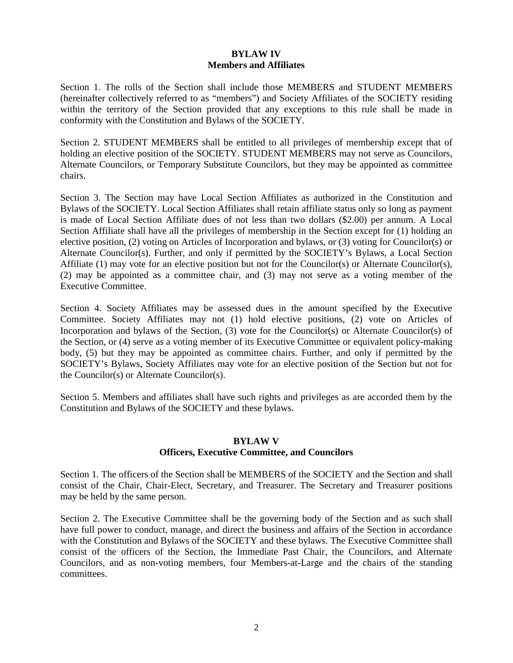# **BYLAW IV Members and Affiliates**

Section 1. The rolls of the Section shall include those MEMBERS and STUDENT MEMBERS (hereinafter collectively referred to as "members") and Society Affiliates of the SOCIETY residing within the territory of the Section provided that any exceptions to this rule shall be made in conformity with the Constitution and Bylaws of the SOCIETY.

Section 2. STUDENT MEMBERS shall be entitled to all privileges of membership except that of holding an elective position of the SOCIETY. STUDENT MEMBERS may not serve as Councilors, Alternate Councilors, or Temporary Substitute Councilors, but they may be appointed as committee chairs.

Section 3. The Section may have Local Section Affiliates as authorized in the Constitution and Bylaws of the SOCIETY. Local Section Affiliates shall retain affiliate status only so long as payment is made of Local Section Affiliate dues of not less than two dollars (\$2.00) per annum. A Local Section Affiliate shall have all the privileges of membership in the Section except for (1) holding an elective position, (2) voting on Articles of Incorporation and bylaws, or (3) voting for Councilor(s) or Alternate Councilor(s). Further, and only if permitted by the SOCIETY's Bylaws, a Local Section Affiliate (1) may vote for an elective position but not for the Councilor(s) or Alternate Councilor(s), (2) may be appointed as a committee chair, and (3) may not serve as a voting member of the Executive Committee.

Section 4. Society Affiliates may be assessed dues in the amount specified by the Executive Committee. Society Affiliates may not (1) hold elective positions, (2) vote on Articles of Incorporation and bylaws of the Section, (3) vote for the Councilor(s) or Alternate Councilor(s) of the Section, or (4) serve as a voting member of its Executive Committee or equivalent policy-making body, (5) but they may be appointed as committee chairs. Further, and only if permitted by the SOCIETY's Bylaws, Society Affiliates may vote for an elective position of the Section but not for the Councilor(s) or Alternate Councilor(s).

Section 5. Members and affiliates shall have such rights and privileges as are accorded them by the Constitution and Bylaws of the SOCIETY and these bylaws.

## **BYLAW V Officers, Executive Committee, and Councilors**

Section 1. The officers of the Section shall be MEMBERS of the SOCIETY and the Section and shall consist of the Chair, Chair-Elect, Secretary, and Treasurer. The Secretary and Treasurer positions may be held by the same person.

Section 2. The Executive Committee shall be the governing body of the Section and as such shall have full power to conduct, manage, and direct the business and affairs of the Section in accordance with the Constitution and Bylaws of the SOCIETY and these bylaws. The Executive Committee shall consist of the officers of the Section, the Immediate Past Chair, the Councilors, and Alternate Councilors, and as non-voting members, four Members-at-Large and the chairs of the standing committees.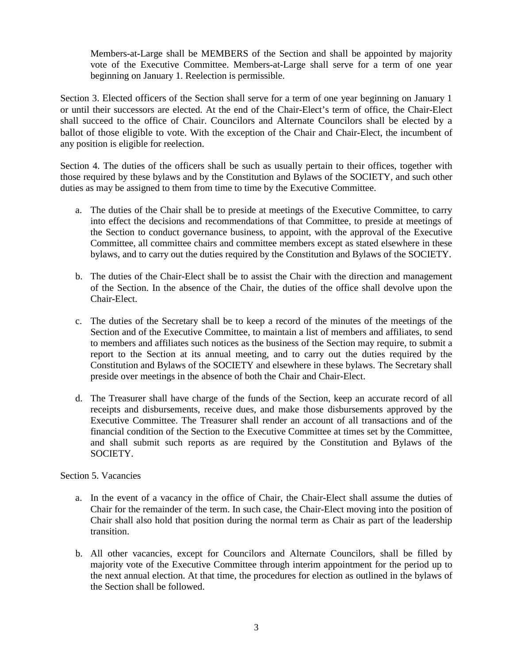Members-at-Large shall be MEMBERS of the Section and shall be appointed by majority vote of the Executive Committee. Members-at-Large shall serve for a term of one year beginning on January 1. Reelection is permissible.

Section 3. Elected officers of the Section shall serve for a term of one year beginning on January 1 or until their successors are elected. At the end of the Chair-Elect's term of office, the Chair-Elect shall succeed to the office of Chair. Councilors and Alternate Councilors shall be elected by a ballot of those eligible to vote. With the exception of the Chair and Chair-Elect, the incumbent of any position is eligible for reelection.

Section 4. The duties of the officers shall be such as usually pertain to their offices, together with those required by these bylaws and by the Constitution and Bylaws of the SOCIETY, and such other duties as may be assigned to them from time to time by the Executive Committee.

- a. The duties of the Chair shall be to preside at meetings of the Executive Committee, to carry into effect the decisions and recommendations of that Committee, to preside at meetings of the Section to conduct governance business, to appoint, with the approval of the Executive Committee, all committee chairs and committee members except as stated elsewhere in these bylaws, and to carry out the duties required by the Constitution and Bylaws of the SOCIETY.
- b. The duties of the Chair-Elect shall be to assist the Chair with the direction and management of the Section. In the absence of the Chair, the duties of the office shall devolve upon the Chair-Elect.
- c. The duties of the Secretary shall be to keep a record of the minutes of the meetings of the Section and of the Executive Committee, to maintain a list of members and affiliates, to send to members and affiliates such notices as the business of the Section may require, to submit a report to the Section at its annual meeting, and to carry out the duties required by the Constitution and Bylaws of the SOCIETY and elsewhere in these bylaws. The Secretary shall preside over meetings in the absence of both the Chair and Chair-Elect.
- d. The Treasurer shall have charge of the funds of the Section, keep an accurate record of all receipts and disbursements, receive dues, and make those disbursements approved by the Executive Committee. The Treasurer shall render an account of all transactions and of the financial condition of the Section to the Executive Committee at times set by the Committee, and shall submit such reports as are required by the Constitution and Bylaws of the SOCIETY.

## Section 5. Vacancies

- a. In the event of a vacancy in the office of Chair, the Chair-Elect shall assume the duties of Chair for the remainder of the term. In such case, the Chair-Elect moving into the position of Chair shall also hold that position during the normal term as Chair as part of the leadership transition.
- b. All other vacancies, except for Councilors and Alternate Councilors, shall be filled by majority vote of the Executive Committee through interim appointment for the period up to the next annual election. At that time, the procedures for election as outlined in the bylaws of the Section shall be followed.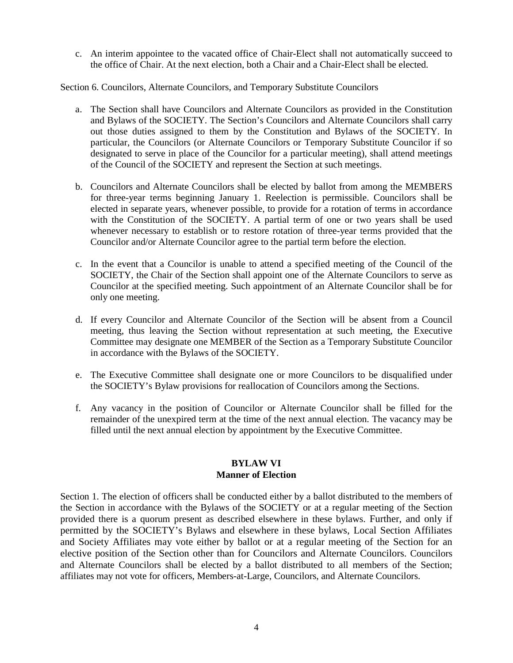c. An interim appointee to the vacated office of Chair-Elect shall not automatically succeed to the office of Chair. At the next election, both a Chair and a Chair-Elect shall be elected.

Section 6. Councilors, Alternate Councilors, and Temporary Substitute Councilors

- a. The Section shall have Councilors and Alternate Councilors as provided in the Constitution and Bylaws of the SOCIETY. The Section's Councilors and Alternate Councilors shall carry out those duties assigned to them by the Constitution and Bylaws of the SOCIETY. In particular, the Councilors (or Alternate Councilors or Temporary Substitute Councilor if so designated to serve in place of the Councilor for a particular meeting), shall attend meetings of the Council of the SOCIETY and represent the Section at such meetings.
- b. Councilors and Alternate Councilors shall be elected by ballot from among the MEMBERS for three-year terms beginning January 1. Reelection is permissible. Councilors shall be elected in separate years, whenever possible, to provide for a rotation of terms in accordance with the Constitution of the SOCIETY. A partial term of one or two years shall be used whenever necessary to establish or to restore rotation of three-year terms provided that the Councilor and/or Alternate Councilor agree to the partial term before the election.
- c. In the event that a Councilor is unable to attend a specified meeting of the Council of the SOCIETY, the Chair of the Section shall appoint one of the Alternate Councilors to serve as Councilor at the specified meeting. Such appointment of an Alternate Councilor shall be for only one meeting.
- d. If every Councilor and Alternate Councilor of the Section will be absent from a Council meeting, thus leaving the Section without representation at such meeting, the Executive Committee may designate one MEMBER of the Section as a Temporary Substitute Councilor in accordance with the Bylaws of the SOCIETY.
- e. The Executive Committee shall designate one or more Councilors to be disqualified under the SOCIETY's Bylaw provisions for reallocation of Councilors among the Sections.
- f. Any vacancy in the position of Councilor or Alternate Councilor shall be filled for the remainder of the unexpired term at the time of the next annual election. The vacancy may be filled until the next annual election by appointment by the Executive Committee.

#### **BYLAW VI Manner of Election**

Section 1. The election of officers shall be conducted either by a ballot distributed to the members of the Section in accordance with the Bylaws of the SOCIETY or at a regular meeting of the Section provided there is a quorum present as described elsewhere in these bylaws. Further, and only if permitted by the SOCIETY's Bylaws and elsewhere in these bylaws, Local Section Affiliates and Society Affiliates may vote either by ballot or at a regular meeting of the Section for an elective position of the Section other than for Councilors and Alternate Councilors. Councilors and Alternate Councilors shall be elected by a ballot distributed to all members of the Section; affiliates may not vote for officers, Members-at-Large, Councilors, and Alternate Councilors.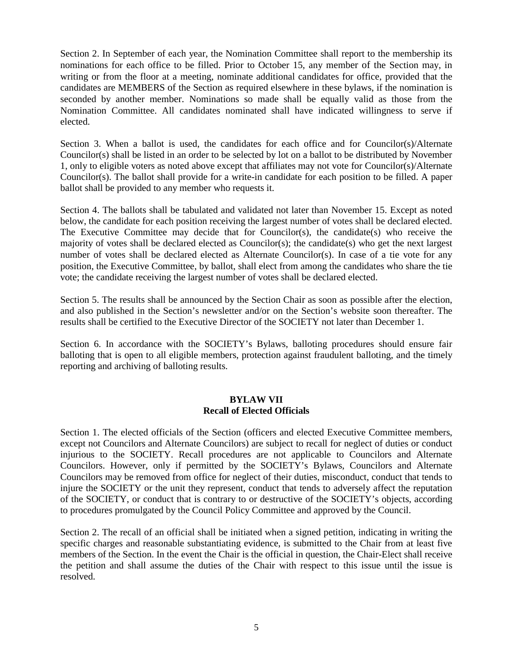Section 2. In September of each year, the Nomination Committee shall report to the membership its nominations for each office to be filled. Prior to October 15, any member of the Section may, in writing or from the floor at a meeting, nominate additional candidates for office, provided that the candidates are MEMBERS of the Section as required elsewhere in these bylaws, if the nomination is seconded by another member. Nominations so made shall be equally valid as those from the Nomination Committee. All candidates nominated shall have indicated willingness to serve if elected.

Section 3. When a ballot is used, the candidates for each office and for Councilor(s)/Alternate Councilor(s) shall be listed in an order to be selected by lot on a ballot to be distributed by November 1, only to eligible voters as noted above except that affiliates may not vote for Councilor(s)/Alternate Councilor(s). The ballot shall provide for a write-in candidate for each position to be filled. A paper ballot shall be provided to any member who requests it.

Section 4. The ballots shall be tabulated and validated not later than November 15. Except as noted below, the candidate for each position receiving the largest number of votes shall be declared elected. The Executive Committee may decide that for Councilor(s), the candidate(s) who receive the majority of votes shall be declared elected as Councilor(s); the candidate(s) who get the next largest number of votes shall be declared elected as Alternate Councilor(s). In case of a tie vote for any position, the Executive Committee, by ballot, shall elect from among the candidates who share the tie vote; the candidate receiving the largest number of votes shall be declared elected.

Section 5. The results shall be announced by the Section Chair as soon as possible after the election, and also published in the Section's newsletter and/or on the Section's website soon thereafter. The results shall be certified to the Executive Director of the SOCIETY not later than December 1.

Section 6. In accordance with the SOCIETY's Bylaws, balloting procedures should ensure fair balloting that is open to all eligible members, protection against fraudulent balloting, and the timely reporting and archiving of balloting results.

## **BYLAW VII Recall of Elected Officials**

Section 1. The elected officials of the Section (officers and elected Executive Committee members, except not Councilors and Alternate Councilors) are subject to recall for neglect of duties or conduct injurious to the SOCIETY. Recall procedures are not applicable to Councilors and Alternate Councilors. However, only if permitted by the SOCIETY's Bylaws, Councilors and Alternate Councilors may be removed from office for neglect of their duties, misconduct, conduct that tends to injure the SOCIETY or the unit they represent, conduct that tends to adversely affect the reputation of the SOCIETY, or conduct that is contrary to or destructive of the SOCIETY's objects, according to procedures promulgated by the Council Policy Committee and approved by the Council.

Section 2. The recall of an official shall be initiated when a signed petition, indicating in writing the specific charges and reasonable substantiating evidence, is submitted to the Chair from at least five members of the Section. In the event the Chair is the official in question, the Chair-Elect shall receive the petition and shall assume the duties of the Chair with respect to this issue until the issue is resolved.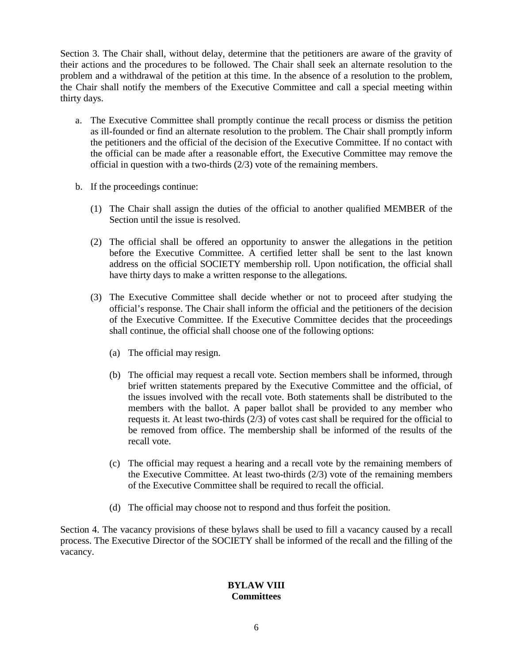Section 3. The Chair shall, without delay, determine that the petitioners are aware of the gravity of their actions and the procedures to be followed. The Chair shall seek an alternate resolution to the problem and a withdrawal of the petition at this time. In the absence of a resolution to the problem, the Chair shall notify the members of the Executive Committee and call a special meeting within thirty days.

- a. The Executive Committee shall promptly continue the recall process or dismiss the petition as ill-founded or find an alternate resolution to the problem. The Chair shall promptly inform the petitioners and the official of the decision of the Executive Committee. If no contact with the official can be made after a reasonable effort, the Executive Committee may remove the official in question with a two-thirds (2/3) vote of the remaining members.
- b. If the proceedings continue:
	- (1) The Chair shall assign the duties of the official to another qualified MEMBER of the Section until the issue is resolved.
	- (2) The official shall be offered an opportunity to answer the allegations in the petition before the Executive Committee. A certified letter shall be sent to the last known address on the official SOCIETY membership roll. Upon notification, the official shall have thirty days to make a written response to the allegations.
	- (3) The Executive Committee shall decide whether or not to proceed after studying the official's response. The Chair shall inform the official and the petitioners of the decision of the Executive Committee. If the Executive Committee decides that the proceedings shall continue, the official shall choose one of the following options:
		- (a) The official may resign.
		- (b) The official may request a recall vote. Section members shall be informed, through brief written statements prepared by the Executive Committee and the official, of the issues involved with the recall vote. Both statements shall be distributed to the members with the ballot. A paper ballot shall be provided to any member who requests it. At least two-thirds (2/3) of votes cast shall be required for the official to be removed from office. The membership shall be informed of the results of the recall vote.
		- (c) The official may request a hearing and a recall vote by the remaining members of the Executive Committee. At least two-thirds (2/3) vote of the remaining members of the Executive Committee shall be required to recall the official.
		- (d) The official may choose not to respond and thus forfeit the position.

Section 4. The vacancy provisions of these bylaws shall be used to fill a vacancy caused by a recall process. The Executive Director of the SOCIETY shall be informed of the recall and the filling of the vacancy.

#### **BYLAW VIII Committees**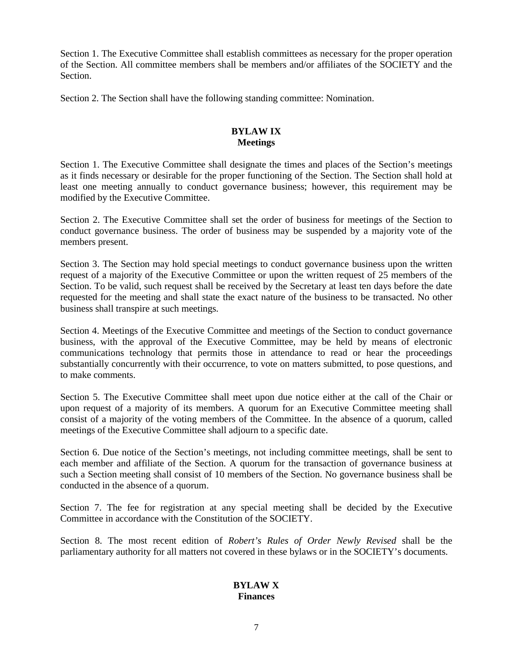Section 1. The Executive Committee shall establish committees as necessary for the proper operation of the Section. All committee members shall be members and/or affiliates of the SOCIETY and the **Section** 

Section 2. The Section shall have the following standing committee: Nomination.

# **BYLAW IX Meetings**

Section 1. The Executive Committee shall designate the times and places of the Section's meetings as it finds necessary or desirable for the proper functioning of the Section. The Section shall hold at least one meeting annually to conduct governance business; however, this requirement may be modified by the Executive Committee.

Section 2. The Executive Committee shall set the order of business for meetings of the Section to conduct governance business. The order of business may be suspended by a majority vote of the members present.

Section 3. The Section may hold special meetings to conduct governance business upon the written request of a majority of the Executive Committee or upon the written request of 25 members of the Section. To be valid, such request shall be received by the Secretary at least ten days before the date requested for the meeting and shall state the exact nature of the business to be transacted. No other business shall transpire at such meetings.

Section 4. Meetings of the Executive Committee and meetings of the Section to conduct governance business, with the approval of the Executive Committee, may be held by means of electronic communications technology that permits those in attendance to read or hear the proceedings substantially concurrently with their occurrence, to vote on matters submitted, to pose questions, and to make comments.

Section 5. The Executive Committee shall meet upon due notice either at the call of the Chair or upon request of a majority of its members. A quorum for an Executive Committee meeting shall consist of a majority of the voting members of the Committee. In the absence of a quorum, called meetings of the Executive Committee shall adjourn to a specific date.

Section 6. Due notice of the Section's meetings, not including committee meetings, shall be sent to each member and affiliate of the Section. A quorum for the transaction of governance business at such a Section meeting shall consist of 10 members of the Section. No governance business shall be conducted in the absence of a quorum.

Section 7. The fee for registration at any special meeting shall be decided by the Executive Committee in accordance with the Constitution of the SOCIETY.

Section 8. The most recent edition of *Robert's Rules of Order Newly Revised* shall be the parliamentary authority for all matters not covered in these bylaws or in the SOCIETY's documents.

# **BYLAW X Finances**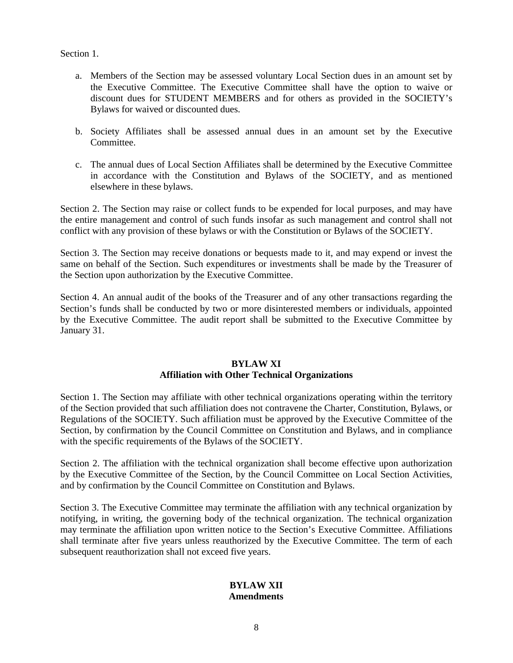Section 1.

- a. Members of the Section may be assessed voluntary Local Section dues in an amount set by the Executive Committee. The Executive Committee shall have the option to waive or discount dues for STUDENT MEMBERS and for others as provided in the SOCIETY's Bylaws for waived or discounted dues.
- b. Society Affiliates shall be assessed annual dues in an amount set by the Executive Committee.
- c. The annual dues of Local Section Affiliates shall be determined by the Executive Committee in accordance with the Constitution and Bylaws of the SOCIETY, and as mentioned elsewhere in these bylaws.

Section 2. The Section may raise or collect funds to be expended for local purposes, and may have the entire management and control of such funds insofar as such management and control shall not conflict with any provision of these bylaws or with the Constitution or Bylaws of the SOCIETY.

Section 3. The Section may receive donations or bequests made to it, and may expend or invest the same on behalf of the Section. Such expenditures or investments shall be made by the Treasurer of the Section upon authorization by the Executive Committee.

Section 4. An annual audit of the books of the Treasurer and of any other transactions regarding the Section's funds shall be conducted by two or more disinterested members or individuals, appointed by the Executive Committee. The audit report shall be submitted to the Executive Committee by January 31.

#### **BYLAW XI Affiliation with Other Technical Organizations**

Section 1. The Section may affiliate with other technical organizations operating within the territory of the Section provided that such affiliation does not contravene the Charter, Constitution, Bylaws, or Regulations of the SOCIETY. Such affiliation must be approved by the Executive Committee of the Section, by confirmation by the Council Committee on Constitution and Bylaws, and in compliance with the specific requirements of the Bylaws of the SOCIETY.

Section 2. The affiliation with the technical organization shall become effective upon authorization by the Executive Committee of the Section, by the Council Committee on Local Section Activities, and by confirmation by the Council Committee on Constitution and Bylaws.

Section 3. The Executive Committee may terminate the affiliation with any technical organization by notifying, in writing, the governing body of the technical organization. The technical organization may terminate the affiliation upon written notice to the Section's Executive Committee. Affiliations shall terminate after five years unless reauthorized by the Executive Committee. The term of each subsequent reauthorization shall not exceed five years.

# **BYLAW XII Amendments**